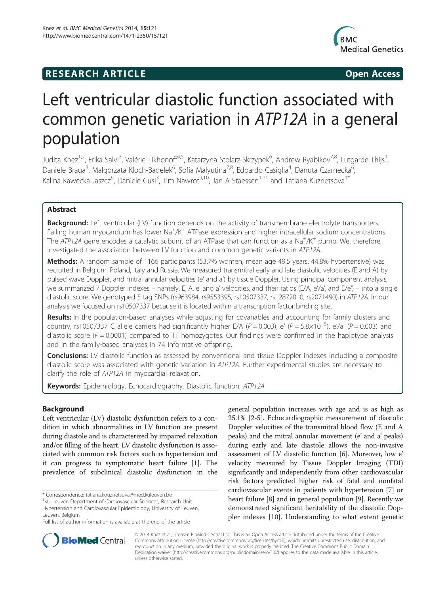# **RESEARCH ARTICLE Example 2018 12:00 Open Access**



# Left ventricular diastolic function associated with common genetic variation in ATP12A in a general population

Judita Knez<sup>1,2</sup>, Erika Salvi<sup>3</sup>, Valérie Tikhonoff<sup>4,5</sup>, Katarzyna Stolarz-Skrzypek<sup>6</sup>, Andrew Ryabikov<sup>7,8</sup>, Lutgarde Thijs<sup>1</sup> , Daniele Braga<sup>3</sup>, Malgorzata Kloch-Badelek<sup>6</sup>, Sofia Malyutina<sup>7,8</sup>, Edoardo Casiglia<sup>4</sup>, Danuta Czarnecka<sup>6</sup> , Kalina Kawecka-Jaszcz<sup>6</sup>, Daniele Cusi<sup>3</sup>, Tim Nawrot<sup>9,10</sup>, Jan A Staessen<sup>1,11</sup> and Tatiana Kuznetsova<sup>1\*</sup>

# Abstract

Background: Left ventricular (LV) function depends on the activity of transmembrane electrolyte transporters. Failing human myocardium has lower Na<sup>+</sup>/K<sup>+</sup> ATPase expression and higher intracellular sodium concentrations. The ATP12A gene encodes a catalytic subunit of an ATPase that can function as a Na<sup>+</sup>/K<sup>+</sup> pump. We, therefore, investigated the association between LV function and common genetic variants in ATP12A.

Methods: A random sample of 1166 participants (53.7% women; mean age 49.5 years, 44.8% hypertensive) was recruited in Belgium, Poland, Italy and Russia. We measured transmitral early and late diastolic velocities (E and A) by pulsed wave Doppler, and mitral annular velocities (e' and a') by tissue Doppler. Using principal component analysis, we summarized 7 Doppler indexes – namely, E, A, e' and a' velocities, and their ratios (E/A, e'/a', and E/e') – into a single diastolic score. We genotyped 5 tag SNPs (rs963984, rs9553395, rs10507337, rs12872010, rs2071490) in ATP12A. In our analysis we focused on rs10507337 because it is located within a transcription factor binding site.

Results: In the population-based analyses while adjusting for covariables and accounting for family clusters and country, rs10507337 C allele carriers had significantly higher E/A (P = 0.003), e' (P = 5.8×10<sup>-5</sup>), e'/a' (P = 0.003) and diastolic score ( $P = 0.0001$ ) compared to  $\Pi$  homozygotes. Our findings were confirmed in the haplotype analysis and in the family-based analyses in 74 informative offspring.

**Conclusions:** LV diastolic function as assessed by conventional and tissue Doppler indexes including a composite diastolic score was associated with genetic variation in ATP12A. Further experimental studies are necessary to clarify the role of ATP12A in myocardial relaxation.

Keywords: Epidemiology, Echocardiography, Diastolic function, ATP12A

# Background

Left ventricular (LV) diastolic dysfunction refers to a condition in which abnormalities in LV function are present during diastole and is characterized by impaired relaxation and/or filling of the heart. LV diastolic dysfunction is associated with common risk factors such as hypertension and it can progress to symptomatic heart failure [[1\]](#page-9-0). The prevalence of subclinical diastolic dysfunction in the

\* Correspondence: [tatiana.kouznetsova@med.kuleuven.be](mailto:tatiana.kouznetsova@med.kuleuven.be) <sup>1</sup>

<sup>1</sup>KU Leuven Department of Cardiovascular Sciences, Research Unit Hypertension and Cardiovascular Epidemiology, University of Leuven, Leuven, Belgium

general population increases with age and is as high as 25.1% [\[2-5](#page-9-0)]. Echocardiographic measurement of diastolic Doppler velocities of the transmitral blood flow (E and A peaks) and the mitral annular movement (e' and a' peaks) during early and late diastole allows the non-invasive assessment of LV diastolic function [\[6](#page-9-0)]. Moreover, low e' velocity measured by Tissue Doppler Imaging (TDI) significantly and independently from other cardiovascular risk factors predicted higher risk of fatal and nonfatal cardiovascular events in patients with hypertension [[7](#page-9-0)] or heart failure [[8\]](#page-9-0) and in general population [\[9\]](#page-9-0). Recently we demonstrated significant heritability of the diastolic Doppler indexes [\[10\]](#page-9-0). Understanding to what extent genetic



© 2014 Knez et al.; licensee BioMed Central Ltd. This is an Open Access article distributed under the terms of the Creative Commons Attribution License [\(http://creativecommons.org/licenses/by/4.0\)](http://creativecommons.org/licenses/by/4.0), which permits unrestricted use, distribution, and reproduction in any medium, provided the original work is properly credited. The Creative Commons Public Domain Dedication waiver [\(http://creativecommons.org/publicdomain/zero/1.0/](http://creativecommons.org/publicdomain/zero/1.0/)) applies to the data made available in this article, unless otherwise stated.

Full list of author information is available at the end of the article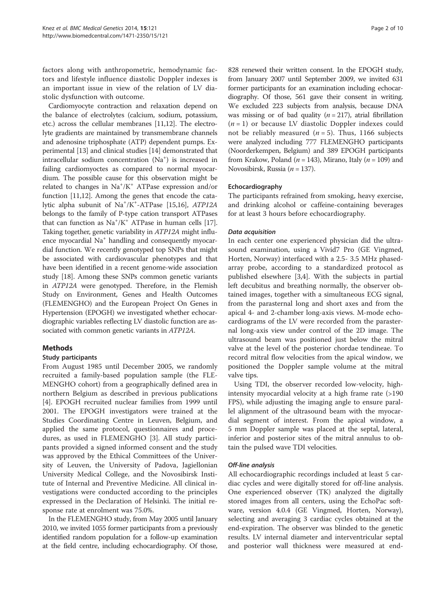factors along with anthropometric, hemodynamic factors and lifestyle influence diastolic Doppler indexes is an important issue in view of the relation of LV diastolic dysfunction with outcome.

Cardiomyocyte contraction and relaxation depend on the balance of electrolytes (calcium, sodium, potassium, etc.) across the cellular membranes [[11,12\]](#page-9-0). The electrolyte gradients are maintained by transmembrane channels and adenosine triphosphate (ATP) dependent pumps. Experimental [\[13\]](#page-9-0) and clinical studies [[14\]](#page-9-0) demonstrated that intracellular sodium concentration (Na<sup>+</sup>) is increased in failing cardiomyoctes as compared to normal myocardium. The possible cause for this observation might be related to changes in Na<sup>+</sup>/K<sup>+</sup> ATPase expression and/or function [\[11,12](#page-9-0)]. Among the genes that encode the cata-lytic alpha subunit of Na<sup>+</sup>/K<sup>+</sup>-ATPase [\[15,16\]](#page-9-0), ATP12A belongs to the family of P-type cation transport ATPases that can function as  $Na^+/K^+$  ATPase in human cells [[17](#page-9-0)]. Taking together, genetic variability in ATP12A might influence myocardial Na<sup>+</sup> handling and consequently myocardial function. We recently genotyped top SNPs that might be associated with cardiovascular phenotypes and that have been identified in a recent genome-wide association study [\[18\]](#page-9-0). Among these SNPs common genetic variants in ATP12A were genotyped. Therefore, in the Flemish Study on Environment, Genes and Health Outcomes (FLEMENGHO) and the European Project On Genes in Hypertension (EPOGH) we investigated whether echocardiographic variables reflecting LV diastolic function are associated with common genetic variants in ATP12A.

# Methods

# Study participants

From August 1985 until December 2005, we randomly recruited a family-based population sample (the FLE-MENGHO cohort) from a geographically defined area in northern Belgium as described in previous publications [[4\]](#page-9-0). EPOGH recruited nuclear families from 1999 until 2001. The EPOGH investigators were trained at the Studies Coordinating Centre in Leuven, Belgium, and applied the same protocol, questionnaires and procedures, as used in FLEMENGHO [\[3](#page-9-0)]. All study participants provided a signed informed consent and the study was approved by the Ethical Committees of the University of Leuven, the University of Padova, Jagiellonian University Medical College, and the Novosibirsk Institute of Internal and Preventive Medicine. All clinical investigations were conducted according to the principles expressed in the Declaration of Helsinki. The initial response rate at enrolment was 75.0%.

In the FLEMENGHO study, from May 2005 until January 2010, we invited 1055 former participants from a previously identified random population for a follow-up examination at the field centre, including echocardiography. Of those,

828 renewed their written consent. In the EPOGH study, from January 2007 until September 2009, we invited 631 former participants for an examination including echocardiography. Of those, 561 gave their consent in writing. We excluded 223 subjects from analysis, because DNA was missing or of bad quality  $(n = 217)$ , atrial fibrillation  $(n = 1)$  or because LV diastolic Doppler indexes could not be reliably measured ( $n = 5$ ). Thus, 1166 subjects were analyzed including 777 FLEMENGHO participants (Noorderkempen, Belgium) and 389 EPOGH participants from Krakow, Poland ( $n = 143$ ), Mirano, Italy ( $n = 109$ ) and Novosibirsk, Russia ( $n = 137$ ).

# Echocardiography

The participants refrained from smoking, heavy exercise, and drinking alcohol or caffeine-containing beverages for at least 3 hours before echocardiography.

#### Data acquisition

In each center one experienced physician did the ultrasound examination, using a Vivid7 Pro (GE Vingmed, Horten, Norway) interfaced with a 2.5- 3.5 MHz phasedarray probe, according to a standardized protocol as published elsewhere [[3,4\]](#page-9-0). With the subjects in partial left decubitus and breathing normally, the observer obtained images, together with a simultaneous ECG signal, from the parasternal long and short axes and from the apical 4- and 2-chamber long-axis views. M-mode echocardiograms of the LV were recorded from the parasternal long-axis view under control of the 2D image. The ultrasound beam was positioned just below the mitral valve at the level of the posterior chordae tendineae. To record mitral flow velocities from the apical window, we positioned the Doppler sample volume at the mitral valve tips.

Using TDI, the observer recorded low-velocity, highintensity myocardial velocity at a high frame rate (>190 FPS), while adjusting the imaging angle to ensure parallel alignment of the ultrasound beam with the myocardial segment of interest. From the apical window, a 5 mm Doppler sample was placed at the septal, lateral, inferior and posterior sites of the mitral annulus to obtain the pulsed wave TDI velocities.

# Off-line analysis

All echocardiographic recordings included at least 5 cardiac cycles and were digitally stored for off-line analysis. One experienced observer (TK) analyzed the digitally stored images from all centers, using the EchoPac software, version 4.0.4 (GE Vingmed, Horten, Norway), selecting and averaging 3 cardiac cycles obtained at the end-expiration. The observer was blinded to the genetic results. LV internal diameter and interventricular septal and posterior wall thickness were measured at end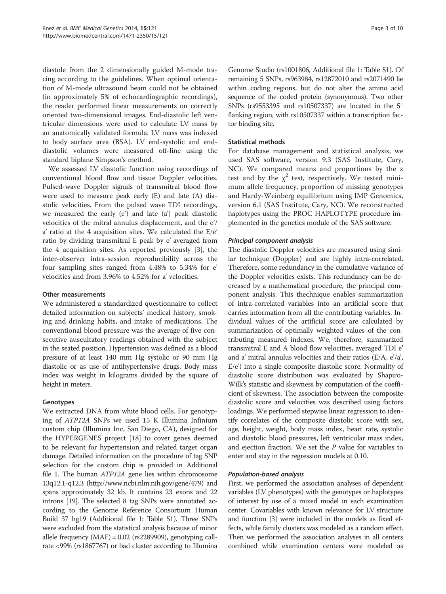diastole from the 2 dimensionally guided M-mode tracing according to the guidelines. When optimal orientation of M-mode ultrasound beam could not be obtained (in approximately 5% of echocardiographic recordings), the reader performed linear measurements on correctly oriented two-dimensional images. End-diastolic left ventricular dimensions were used to calculate LV mass by an anatomically validated formula. LV mass was indexed to body surface area (BSA). LV end-systolic and enddiastolic volumes were measured off-line using the standard biplane Simpson's method.

We assessed LV diastolic function using recordings of conventional blood flow and tissue Doppler velocities. Pulsed-wave Doppler signals of transmitral blood flow were used to measure peak early (E) and late (A) diastolic velocities. From the pulsed wave TDI recordings, we measured the early (e') and late (a') peak diastolic velocities of the mitral annulus displacement, and the e'/ a' ratio at the 4 acquisition sites. We calculated the E/e' ratio by dividing transmitral E peak by e' averaged from the 4 acquisition sites. As reported previously [[3\]](#page-9-0), the inter-observer intra-session reproducibility across the four sampling sites ranged from 4.48% to 5.34% for e' velocities and from 3.96% to 4.52% for a' velocities.

#### Other measurements

We administered a standardized questionnaire to collect detailed information on subjects' medical history, smoking and drinking habits, and intake of medications. The conventional blood pressure was the average of five consecutive auscultatory readings obtained with the subject in the seated position. Hypertension was defined as a blood pressure of at least 140 mm Hg systolic or 90 mm Hg diastolic or as use of antihypertensive drugs. Body mass index was weight in kilograms divided by the square of height in meters.

# Genotypes

We extracted DNA from white blood cells. For genotyping of ATP12A SNPs we used 15 K Illumina Infinium custom chip (Illumina Inc, San Diego, CA), designed for the HYPERGENES project [[18](#page-9-0)] to cover genes deemed to be relevant for hypertension and related target organ damage. Detailed information on the procedure of tag SNP selection for the custom chip is provided in Additional file [1](#page-8-0). The human ATP12A gene lies within chromosome 13q12.1-q12.3 (<http://www.ncbi.nlm.nih.gov/gene/479>) and spans approximately 32 kb. It contains 23 exons and 22 introns [\[19\]](#page-9-0). The selected 8 tag SNPs were annotated according to the Genome Reference Consortium Human Build 37 hg19 (Additional file [1:](#page-8-0) Table S1). Three SNPs were excluded from the statistical analysis because of minor allele frequency  $(MAF) = 0.02$  (rs2289909), genotyping callrate <99% (rs1867767) or bad cluster according to Illumina

Genome Studio (rs1001806, Additional file [1](#page-8-0): Table S1). Of remaining 5 SNPs, rs963984, rs12872010 and rs2071490 lie within coding regions, but do not alter the amino acid sequence of the coded protein (synonymous). Two other SNPs (rs9553395 and rs10507337) are located in the 5′ flanking region, with rs10507337 within a transcription factor binding site.

#### Statistical methods

For database management and statistical analysis, we used SAS software, version 9.3 (SAS Institute, Cary, NC). We compared means and proportions by the z test and by the  $\chi^2$  test, respectively. We tested minimum allele frequency, proportion of missing genotypes and Hardy-Weinberg equilibrium using JMP Genomics, version 6.1 (SAS Institute, Cary, NC). We reconstructed haplotypes using the PROC HAPLOTYPE procedure implemented in the genetics module of the SAS software.

#### Principal component analysis

The diastolic Doppler velocities are measured using similar technique (Doppler) and are highly intra-correlated. Therefore, some redundancy in the cumulative variance of the Doppler velocities exists. This redundancy can be decreased by a mathematical procedure, the principal component analysis. This thechnique enables summarization of intra-correlated variables into an artificial score that carries information from all the contributing variables. Individual values of the artificial score are calculated by summarization of optimally weighted values of the contributing measured indexes. We, therefore, summarized transmitral E and A blood flow velocities, averaged TDI e' and a' mitral annulus velocities and their ratios (E/A, e'/a', E/e') into a single composite diastolic score. Normality of diastolic score distribution was evaluated by Shapiro-Wilk's statistic and skewness by computation of the coefficient of skewness. The association between the composite diastolic score and velocities was described using factors loadings. We performed stepwise linear regression to identify correlates of the composite diastolic score with sex, age, height, weight, body mass index, heart rate, systolic and diastolic blood pressures, left ventricular mass index, and ejection fraction. We set the P value for variables to enter and stay in the regression models at 0.10.

#### Population-based analysis

First, we performed the association analyses of dependent variables (LV phenotypes) with the genotypes or haplotypes of interest by use of a mixed model in each examination center. Covariables with known relevance for LV structure and function [[3](#page-9-0)] were included in the models as fixed effects, while family clusters was modeled as a random effect. Then we performed the association analyses in all centers combined while examination centers were modeled as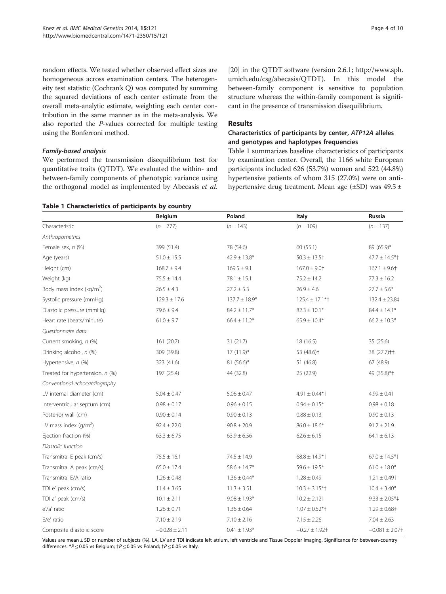<span id="page-3-0"></span>random effects. We tested whether observed effect sizes are homogeneous across examination centers. The heterogeneity test statistic (Cochran's Q) was computed by summing the squared deviations of each center estimate from the overall meta-analytic estimate, weighting each center contribution in the same manner as in the meta-analysis. We also reported the P-values corrected for multiple testing using the Bonferroni method.

# Family-based analysis

We performed the transmission disequilibrium test for quantitative traits (QTDT). We evaluated the within- and between-family components of phenotypic variance using the orthogonal model as implemented by Abecasis et al.

[[20](#page-9-0)] in the QTDT software (version 2.6.1; [http://www.sph.](http://www.sph.umich.edu/csg/abecasis/QTDT) [umich.edu/csg/abecasis/QTDT](http://www.sph.umich.edu/csg/abecasis/QTDT)). In this model the between-family component is sensitive to population structure whereas the within-family component is significant in the presence of transmission disequilibrium.

# Results

# Characteristics of participants by center, ATP12A alleles and genotypes and haplotypes frequencies

Table 1 summarizes baseline characteristics of participants by examination center. Overall, the 1166 white European participants included 626 (53.7%) women and 522 (44.8%) hypertensive patients of whom 315 (27.0%) were on antihypertensive drug treatment. Mean age  $(\pm SD)$  was 49.5  $\pm$ 

|                                 | Belgium           | Poland            | Italy                         | <b>Russia</b>                |
|---------------------------------|-------------------|-------------------|-------------------------------|------------------------------|
| Characteristic                  | $(n = 777)$       | $(n = 143)$       | $(n = 109)$                   | $(n = 137)$                  |
| Anthropometrics                 |                   |                   |                               |                              |
| Female sex, n (%)               | 399 (51.4)        | 78 (54.6)         | 60(55.1)                      | 89 (65.9)*                   |
| Age (years)                     | $51.0 \pm 15.5$   | $42.9 \pm 13.8*$  | $50.3 \pm 13.5$ <sup>+</sup>  | $47.7 \pm 14.5$ *†           |
| Height (cm)                     | $168.7 \pm 9.4$   | $169.5 \pm 9.1$   | $167.0 \pm 9.0$ <sup>+</sup>  | $167.1 \pm 9.6$ †            |
| Weight (kg)                     | $75.5 \pm 14.4$   | $78.1 \pm 15.1$   | $75.2 \pm 14.2$               | $77.3 \pm 16.2$              |
| Body mass index ( $kg/m2$ )     | $26.5 \pm 4.3$    | $27.2 \pm 5.3$    | $26.9 \pm 4.6$                | $27.7 \pm 5.6*$              |
| Systolic pressure (mmHg)        | $129.3 \pm 17.6$  | $137.7 \pm 18.9*$ | $125.4 \pm 17.1$ *†           | $132.4 \pm 23.8^{\dagger}$   |
| Diastolic pressure (mmHg)       | $79.6 \pm 9.4$    | $84.2 \pm 11.7*$  | $82.3 \pm 10.1*$              | $84.4 \pm 14.1^*$            |
| Heart rate (beats/minute)       | $61.0 \pm 9.7$    | $66.4 \pm 11.2*$  | $65.9 \pm 10.4*$              | $66.2 \pm 10.3*$             |
| Questionnaire data              |                   |                   |                               |                              |
| Current smoking, n (%)          | 161 (20.7)        | 31(21.7)          | 18 (16.5)                     | 35 (25.6)                    |
| Drinking alcohol, n (%)         | 309 (39.8)        | $17(11.9)^*$      | 53 (48.6) <sup>+</sup>        | 38 (27.7) + $\pm$            |
| Hypertensive, n (%)             | 323 (41.6)        | 81 $(56.6)^*$     | 51 (46.8)                     | 67 (48.9)                    |
| Treated for hypertension, n (%) | 197 (25.4)        | 44 (32.8)         | 25 (22.9)                     | 49 (35.8)*#                  |
| Conventional echocardiography   |                   |                   |                               |                              |
| LV internal diameter (cm)       | $5.04 \pm 0.47$   | $5.06 \pm 0.47$   | $4.91 \pm 0.44*$              | $4.99 \pm 0.41$              |
| Interventricular septum (cm)    | $0.98 \pm 0.17$   | $0.96 \pm 0.15$   | $0.94 \pm 0.15*$              | $0.98 \pm 0.18$              |
| Posterior wall (cm)             | $0.90 \pm 0.14$   | $0.90 \pm 0.13$   | $0.88 \pm 0.13$               | $0.90 \pm 0.13$              |
| LV mass index $\frac{q}{m^2}$   | $92.4 \pm 22.0$   | $90.8 \pm 20.9$   | $86.0\pm18.6^*$               | $91.2 \pm 21.9$              |
| Ejection fraction (%)           | $63.3 \pm 6.75$   | $63.9 \pm 6.56$   | $62.6 \pm 6.15$               | $64.1 \pm 6.13$              |
| Diastolic function              |                   |                   |                               |                              |
| Transmitral E peak (cm/s)       | $75.5 \pm 16.1$   | $74.5 \pm 14.9$   | $68.8 \pm 14.9*$ <sup>+</sup> | $67.0 \pm 14.5$ *†           |
| Transmitral A peak (cm/s)       | $65.0 \pm 17.4$   | $58.6 \pm 14.7*$  | $59.6 \pm 19.5*$              | $61.0 \pm 18.0*$             |
| Transmitral E/A ratio           | $1.26 \pm 0.48$   | $1.36 \pm 0.44*$  | $1.28 \pm 0.49$               | $1.21 \pm 0.49$ <sup>+</sup> |
| TDI e' peak (cm/s)              | $11.4 \pm 3.65$   | $11.3 \pm 3.51$   | $10.3 \pm 3.15$ *†            | $10.4 \pm 3.40*$             |
| TDI a' peak (cm/s)              | $10.1 \pm 2.11$   | $9.08 \pm 1.93*$  | $10.2 \pm 2.12$ <sup>+</sup>  | $9.33 \pm 2.05$ *‡           |
| e'/a' ratio                     | $1.26 \pm 0.71$   | $1.36 \pm 0.64$   | $1.07 \pm 0.52$ *†            | $1.29 \pm 0.68$ ‡            |
| E/e' ratio                      | $7.10 \pm 2.19$   | $7.10 \pm 2.16$   | $7.15 \pm 2.26$               | $7.04 \pm 2.63$              |
| Composite diastolic score       | $-0.028 \pm 2.11$ | $0.41 \pm 1.93*$  | $-0.27 \pm 1.92$ <sup>+</sup> | $-0.081 \pm 2.07$ +          |

Values are mean ± SD or number of subjects (%). LA, LV and TDI indicate left atrium, left ventricle and Tissue Doppler Imaging. Significance for between-country differences: \* $P \le 0.05$  vs Belgium;  $\uparrow P \le 0.05$  vs Poland;  $\uparrow P \le 0.05$  vs Italy.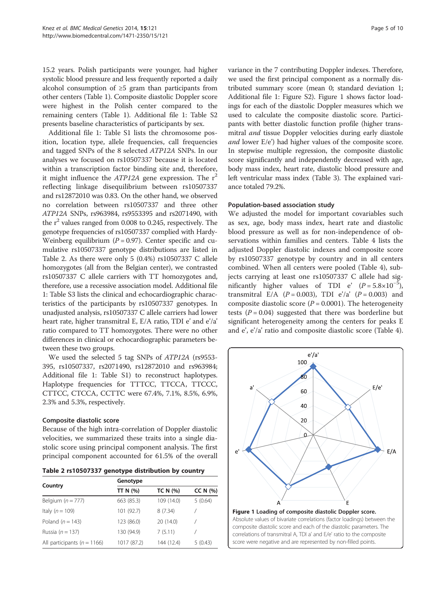15.2 years. Polish participants were younger, had higher systolic blood pressure and less frequently reported a daily alcohol consumption of ≥5 gram than participants from other centers (Table [1](#page-3-0)). Composite diastolic Doppler score were highest in the Polish center compared to the remaining centers (Table [1](#page-3-0)). Additional file [1:](#page-8-0) Table S2 presents baseline characteristics of participants by sex.

Additional file [1:](#page-8-0) Table S1 lists the chromosome position, location type, allele frequencies, call frequencies and tagged SNPs of the 8 selected ATP12A SNPs. In our analyses we focused on rs10507337 because it is located within a transcription factor binding site and, therefore, it might influence the  $ATP12A$  gene expression. The  $r^2$ reflecting linkage disequilibrium between rs10507337 and rs12872010 was 0.83. On the other hand, we observed no correlation between rs10507337 and three other ATP12A SNPs, rs963984, rs9553395 and rs2071490, with the  $r^2$  values ranged from 0.008 to 0.245, respectively. The genotype frequencies of rs10507337 complied with Hardy-Weinberg equilibrium  $(P = 0.97)$ . Center specific and cumulative rs10507337 genotype distributions are listed in Table 2. As there were only 5 (0.4%) rs10507337 C allele homozygotes (all from the Belgian center), we contrasted rs10507337 C allele carriers with TT homozygotes and, therefore, use a recessive association model. Additional file [1:](#page-8-0) Table S3 lists the clinical and echocardiographic characteristics of the participants by rs10507337 genotypes. In unadjusted analysis, rs10507337 C allele carriers had lower heart rate, higher transmitral E, E/A ratio, TDI e' and e'/a' ratio compared to TT homozygotes. There were no other differences in clinical or echocardiographic parameters between these two groups.

We used the selected 5 tag SNPs of ATP12A (rs9553- 395, rs10507337, rs2071490, rs12872010 and rs963984; Additional file [1](#page-8-0): Table S1) to reconstruct haplotypes. Haplotype frequencies for TTTCC, TTCCA, TTCCC, CTTCC, CTCCA, CCTTC were 67.4%, 7.1%, 8.5%, 6.9%, 2.3% and 5.3%, respectively.

# Composite diastolic score

Because of the high intra-correlation of Doppler diastolic velocities, we summarized these traits into a single diastolic score using principal component analysis. The first principal component accounted for 61.5% of the overall

| Table 2 rs10507337 genotype distribution by country |  |  |  |  |
|-----------------------------------------------------|--|--|--|--|
|-----------------------------------------------------|--|--|--|--|

|                                 | Genotype    |                 |          |  |  |
|---------------------------------|-------------|-----------------|----------|--|--|
| Country                         | TT N (%)    | <b>TC N (%)</b> | CC N (%) |  |  |
| Belgium $(n = 777)$             | 663 (85.3)  | 109 (14.0)      | 5(0.64)  |  |  |
| Italy $(n = 109)$               | 101 (92.7)  | 8(7.34)         |          |  |  |
| Poland $(n = 143)$              | 123 (86.0)  | 20 (14.0)       |          |  |  |
| Russia ( $n = 137$ )            | 130 (94.9)  | 7(5.11)         |          |  |  |
| All participants ( $n = 1166$ ) | 1017 (87.2) | 144 (12.4)      | 5(0.43)  |  |  |

variance in the 7 contributing Doppler indexes. Therefore, we used the first principal component as a normally distributed summary score (mean 0; standard deviation 1; Additional file [1](#page-8-0): Figure S2). Figure 1 shows factor loadings for each of the diastolic Doppler measures which we used to calculate the composite diastolic score. Participants with better diastolic function profile (higher transmitral and tissue Doppler velocities during early diastole and lower  $E/e'$ ) had higher values of the composite score. In stepwise multiple regression, the composite diastolic score significantly and independently decreased with age, body mass index, heart rate, diastolic blood pressure and left ventricular mass index (Table [3](#page-5-0)). The explained variance totaled 79.2%.

#### Population-based association study

We adjusted the model for important covariables such as sex, age, body mass index, heart rate and diastolic blood pressure as well as for non-independence of observations within families and centers. Table [4](#page-5-0) lists the adjusted Doppler diastolic indexes and composite score by rs10507337 genotype by country and in all centers combined. When all centers were pooled (Table [4](#page-5-0)), subjects carrying at least one rs10507337 C allele had significantly higher values of TDI e'  $(P = 5.8 \times 10^{-5})$ , transmitral E/A ( $P = 0.003$ ), TDI e'/a' ( $P = 0.003$ ) and composite diastolic score ( $P = 0.0001$ ). The heterogeneity tests ( $P = 0.04$ ) suggested that there was borderline but significant heterogeneity among the centers for peaks E and e', e'/a' ratio and composite diastolic score (Table [4](#page-5-0)).

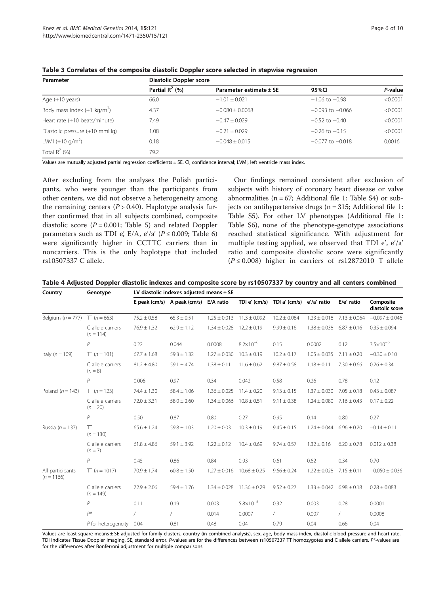| Parameter                             | Diastolic Doppler score |                             |                      |          |  |  |  |
|---------------------------------------|-------------------------|-----------------------------|----------------------|----------|--|--|--|
|                                       | Partial $R^2$ (%)       | Parameter estimate $\pm$ SE | 95%CI                | P-value  |  |  |  |
| Age $(+10$ years)                     | 66.0                    | $-1.01 \pm 0.021$           | $-1.06$ to $-0.98$   | < 0.0001 |  |  |  |
| Body mass index $(+1 \text{ kg/m}^2)$ | 4.37                    | $-0.080 \pm 0.0068$         | $-0.093$ to $-0.066$ | < 0.0001 |  |  |  |
| Heart rate (+10 beats/minute)         | 7.49                    | $-0.47 \pm 0.029$           | $-0.52$ to $-0.40$   | < 0.0001 |  |  |  |
| Diastolic pressure (+10 mmHg)         | 1.08                    | $-0.21 \pm 0.029$           | $-0.26$ to $-0.15$   | < 0.0001 |  |  |  |
| LVMI $(+10 g/m^2)$                    | 0.18                    | $-0.048 \pm 0.015$          | $-0.077$ to $-0.018$ | 0.0016   |  |  |  |
| Total $R^2$ (%)                       | 79.2                    |                             |                      |          |  |  |  |

<span id="page-5-0"></span>Table 3 Correlates of the composite diastolic Doppler score selected in stepwise regression

Values are mutually adjusted partial regression coefficients ± SE. CI, confidence interval; LVMI, left ventricle mass index.

After excluding from the analyses the Polish participants, who were younger than the participants from other centers, we did not observe a heterogeneity among the remaining centers  $(P > 0.40)$ . Haplotype analysis further confirmed that in all subjects combined, composite diastolic score  $(P = 0.001$ ; Table [5](#page-6-0)) and related Doppler parameters such as TDI e', E/A, e'/a' ( $P \le 0.009$ ; Table [6](#page-6-0)) were significantly higher in CCTTC carriers than in noncarriers. This is the only haplotype that included rs10507337 C allele.

Our findings remained consistent after exclusion of subjects with history of coronary heart disease or valve abnormalities ( $n = 67$ ; Additional file [1:](#page-8-0) Table S4) or subjects on antihypertensive drugs ( $n = 315$ ; Additional file [1](#page-8-0): Table S5). For other LV phenotypes (Additional file [1](#page-8-0): Table S6), none of the phenotype-genotype associations reached statistical significance. With adjustment for multiple testing applied, we observed that TDI e', e'/a' ratio and composite diastolic score were significantly  $(P \le 0.008)$  higher in carriers of rs12872010 T allele

Table 4 Adjusted Doppler diastolic indexes and composite score by rs10507337 by country and all centers combined

| Country                          | Genotype                         | LV diastolic indexes adjusted means $\pm$ SE |                                       |                  |                      |                           |                                  |                  |                              |
|----------------------------------|----------------------------------|----------------------------------------------|---------------------------------------|------------------|----------------------|---------------------------|----------------------------------|------------------|------------------------------|
|                                  |                                  |                                              | E peak (cm/s) A peak (cm/s) E/A ratio |                  | TDI e' (cm/s)        | TDI a' (cm/s) e'/a' ratio |                                  | E/e' ratio       | Composite<br>diastolic score |
| Belgium ( $n = 777$ )            | TT $(n = 663)$                   | $75.2 \pm 0.58$                              | $65.3 \pm 0.51$                       | $1.25 \pm 0.013$ | $11.3 \pm 0.092$     | $10.2 \pm 0.084$          | $1.23 \pm 0.018$                 | $7.13 \pm 0.064$ | $-0.097 \pm 0.046$           |
|                                  | C allele carriers<br>$(n = 114)$ | $76.9 \pm 1.32$                              | $62.9 \pm 1.12$                       | $1.34 \pm 0.028$ | $12.2 \pm 0.19$      | $9.99 \pm 0.16$           | $1.38 \pm 0.038$                 | $6.87 \pm 0.16$  | $0.35 \pm 0.094$             |
|                                  | $\mathcal P$                     | 0.22                                         | 0.044                                 | 0.0008           | $8.2 \times 10^{-6}$ | 0.15                      | 0.0002                           | 0.12             | $3.5 \times 10^{-6}$         |
| Italy ( $n = 109$ )              | $TT (n = 101)$                   | $67.7 \pm 1.68$                              | $59.3 \pm 1.32$                       | $1.27 \pm 0.030$ | $10.3 \pm 0.19$      | $10.2 \pm 0.17$           | $1.05 \pm 0.035$                 | $7.11 \pm 0.20$  | $-0.30 \pm 0.10$             |
|                                  | C allele carriers<br>$(n = 8)$   | $81.2 \pm 4.80$                              | $59.1 \pm 4.74$                       | $1.38 \pm 0.11$  | $11.6 \pm 0.62$      | $9.87 \pm 0.58$           | $1.18 \pm 0.11$                  | $7.30 \pm 0.66$  | $0.26 \pm 0.34$              |
|                                  | $\mathcal P$                     | 0.006                                        | 0.97                                  | 0.34             | 0.042                | 0.58                      | 0.26                             | 0.78             | 0.12                         |
| Poland $(n = 143)$               | $TT (n = 123)$                   | $74.4 \pm 1.30$                              | $58.4 \pm 1.06$                       | $1.36 \pm 0.025$ | $11.4 \pm 0.20$      | $9.13 \pm 0.15$           | $1.37 \pm 0.030$                 | $7.05 \pm 0.18$  | $0.43 \pm 0.087$             |
|                                  | C allele carriers<br>$(n = 20)$  | $72.0 \pm 3.31$                              | $58.0 \pm 2.60$                       | $1.34 \pm 0.066$ | $10.8 \pm 0.51$      | $9.11 \pm 0.38$           | $1.24 \pm 0.080$ $7.16 \pm 0.43$ |                  | $0.17 \pm 0.22$              |
|                                  | $\mathcal P$                     | 0.50                                         | 0.87                                  | 0.80             | 0.27                 | 0.95                      | 0.14                             | 0.80             | 0.27                         |
| Russia ( $n = 137$ )             | TT<br>$(n = 130)$                | $65.6 \pm 1.24$                              | $59.8 \pm 1.03$                       | $1.20 \pm 0.03$  | $10.3 \pm 0.19$      | $9.45 \pm 0.15$           | $1.24 \pm 0.044$                 | $6.96 \pm 0.20$  | $-0.14 \pm 0.11$             |
|                                  | C allele carriers<br>$(n = 7)$   | $61.8 \pm 4.86$                              | $59.1 \pm 3.92$                       | $1.22 \pm 0.12$  | $10.4 \pm 0.69$      | $9.74 \pm 0.57$           | $1.32 \pm 0.16$                  | $6.20 \pm 0.78$  | $0.012 \pm 0.38$             |
|                                  | $\overline{P}$                   | 0.45                                         | 0.86                                  | 0.84             | 0.93                 | 0.61                      | 0.62                             | 0.34             | 0.70                         |
| All participants<br>$(n = 1166)$ | $TT (n = 1017)$                  | $70.9 \pm 1.74$                              | $60.8 \pm 1.50$                       | $1.27 \pm 0.016$ | $10.68 \pm 0.25$     | $9.66 \pm 0.24$           | $1.22 \pm 0.028$                 | $7.15 \pm 0.11$  | $-0.050 \pm 0.036$           |
|                                  | C allele carriers<br>$(n = 149)$ | $72.9 \pm 2.06$                              | $59.4 \pm 1.76$                       | $1.34 \pm 0.028$ | $11.36 \pm 0.29$     | $9.52 \pm 0.27$           | $1.33 \pm 0.042$                 | $6.98 \pm 0.18$  | $0.28 \pm 0.083$             |
|                                  | P                                | 0.11                                         | 0.19                                  | 0.003            | $5.8 \times 10^{-5}$ | 0.32                      | 0.003                            | 0.28             | 0.0001                       |
|                                  | $P^*$                            | $\sqrt{2}$                                   | $\sqrt{2}$                            | 0.014            | 0.0007               | $\sqrt{2}$                | 0.007                            | 7                | 0.0008                       |
|                                  | P for heterogeneity              | 0.04                                         | 0.81                                  | 0.48             | 0.04                 | 0.79                      | 0.04                             | 0.66             | 0.04                         |

Values are least square means ± SE adjusted for family clusters, country (in combined analysis), sex, age, body mass index, diastolic blood pressure and heart rate. TDI indicates Tissue Doppler Imaging, SE, standard error. P-values are for the differences between rs10507337 TT homozygotes and C allele carriers. P\*-values are for the differences after Bonferroni adjustment for multiple comparisons.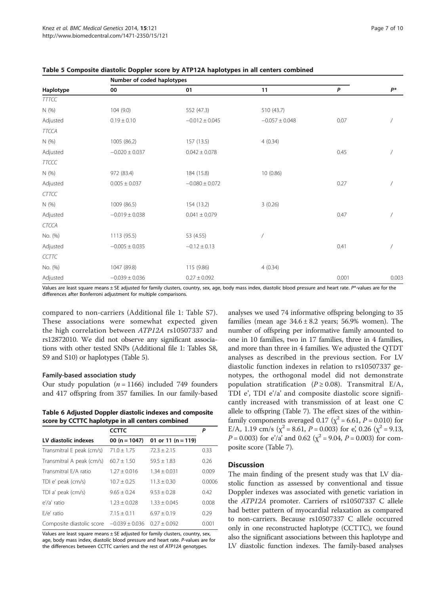|              | Number of coded haplotypes |                    |                    |       |                |  |
|--------------|----------------------------|--------------------|--------------------|-------|----------------|--|
| Haplotype    | 00                         | 01                 | 11                 | P     | $P^*$          |  |
| <b>TTTCC</b> |                            |                    |                    |       |                |  |
| N (%)        | 104(9.0)                   | 552 (47.3)         | 510 (43.7)         |       |                |  |
| Adjusted     | $0.19 \pm 0.10$            | $-0.012 \pm 0.045$ | $-0.057 \pm 0.048$ | 0.07  |                |  |
| <b>TTCCA</b> |                            |                    |                    |       |                |  |
| N (%)        | 1005 (86.2)                | 157 (13.5)         | 4(0.34)            |       |                |  |
| Adjusted     | $-0.020 \pm 0.037$         | $0.042 \pm 0.078$  |                    | 0.45  |                |  |
| <b>TTCCC</b> |                            |                    |                    |       |                |  |
| N (%)        | 972 (83.4)                 | 184 (15.8)         | 10 (0.86)          |       |                |  |
| Adjusted     | $0.005 \pm 0.037$          | $-0.080 \pm 0.072$ |                    | 0.27  |                |  |
| <b>CTTCC</b> |                            |                    |                    |       |                |  |
| N(%)         | 1009 (86.5)                | 154 (13.2)         | 3(0.26)            |       |                |  |
| Adjusted     | $-0.019 \pm 0.038$         | $0.041 \pm 0.079$  |                    | 0.47  |                |  |
| <b>CTCCA</b> |                            |                    |                    |       |                |  |
| No. (%)      | 1113(95.5)                 | 53 (4.55)          |                    |       |                |  |
| Adjusted     | $-0.005 \pm 0.035$         | $-0.12 \pm 0.13$   |                    | 0.41  | $\overline{1}$ |  |
| CCTTC        |                            |                    |                    |       |                |  |
| No. (%)      | 1047 (89.8)                | 115 (9.86)         | 4(0.34)            |       |                |  |
| Adjusted     | $-0.039 \pm 0.036$         | $0.27 \pm 0.092$   |                    | 0.001 | 0.003          |  |

<span id="page-6-0"></span>

| Table 5 Composite diastolic Doppler score by ATP12A haplotypes in all centers combined |  |  |  |  |
|----------------------------------------------------------------------------------------|--|--|--|--|
|----------------------------------------------------------------------------------------|--|--|--|--|

Values are least square means ± SE adjusted for family clusters, country, sex, age, body mass index, diastolic blood pressure and heart rate. P\*-values are for the differences after Bonferroni adjustment for multiple comparisons.

compared to non-carriers (Additional file [1:](#page-8-0) Table S7). These associations were somewhat expected given the high correlation between ATP12A rs10507337 and rs12872010. We did not observe any significant associations with other tested SNPs (Additional file [1:](#page-8-0) Tables S8, S9 and S10) or haplotypes (Table 5).

#### Family-based association study

Our study population ( $n = 1166$ ) included 749 founders and 417 offspring from 357 families. In our family-based

Table 6 Adjusted Doppler diastolic indexes and composite score by CCTTC haplotype in all centers combined

|                           | <b>CCTTC</b>       |                        | P      |
|---------------------------|--------------------|------------------------|--------|
| LV diastolic indexes      | 00 ( $n = 1047$ )  | 01 or 11 ( $n = 119$ ) |        |
| Transmitral E peak (cm/s) | $71.0 + 1.75$      | $72.3 + 2.15$          | 0.33   |
| Transmitral A peak (cm/s) | $60.7 + 1.50$      | $59.5 + 1.83$          | 0.26   |
| Transmitral F/A ratio     | $1.27 + 0.016$     | $1.34 + 0.031$         | 0.009  |
| TDI e' peak (cm/s)        | $10.7 \pm 0.25$    | $11.3 + 0.30$          | 0.0006 |
| TDI a' peak (cm/s)        | $9.65 + 0.24$      | $9.53 + 0.28$          | 0.42   |
| $e'/a'$ ratio             | $1.23 + 0.028$     | $1.33 + 0.045$         | 0.008  |
| $E/e'$ ratio              | $7.15 + 0.11$      | $6.97 + 0.19$          | 0.29   |
| Composite diastolic score | $-0.039 \pm 0.036$ | $0.27 + 0.092$         | 0.001  |

Values are least square means  $\pm$  SE adjusted for family clusters, country, sex, age, body mass index, diastolic blood pressure and heart rate. P-values are for the differences between CCTTC carriers and the rest of ATP12A genotypes.

analyses we used 74 informative offspring belonging to 35 families (mean age  $34.6 \pm 8.2$  years; 56.9% women). The number of offspring per informative family amounted to one in 10 families, two in 17 families, three in 4 families, and more than three in 4 families. We adjusted the QTDT analyses as described in the previous section. For LV diastolic function indexes in relation to rs10507337 genotypes, the orthogonal model did not demonstrate population stratification ( $P \ge 0.08$ ). Transmitral E/A, TDI e', TDI e'/a' and composite diastolic score significantly increased with transmission of at least one C allele to offspring (Table [7\)](#page-7-0). The effect sizes of the withinfamily components averaged 0.17 ( $\chi^2$  = 6.61, *P* = 0.010) for E/A, 1.19 cm/s ( $\chi^2$  = 8.61, P = 0.003) for e', 0.26 ( $\chi^2$  = 9.13,  $P = 0.003$ ) for e'/a' and 0.62 ( $\chi^2 = 9.04$ ,  $P = 0.003$ ) for composite score (Table [7\)](#page-7-0).

#### **Discussion**

The main finding of the present study was that LV diastolic function as assessed by conventional and tissue Doppler indexes was associated with genetic variation in the ATP12A promoter. Carriers of rs10507337 C allele had better pattern of myocardial relaxation as compared to non-carriers. Because rs10507337 C allele occurred only in one reconstructed haplotype (CCTTC), we found also the significant associations between this haplotype and LV diastolic function indexes. The family-based analyses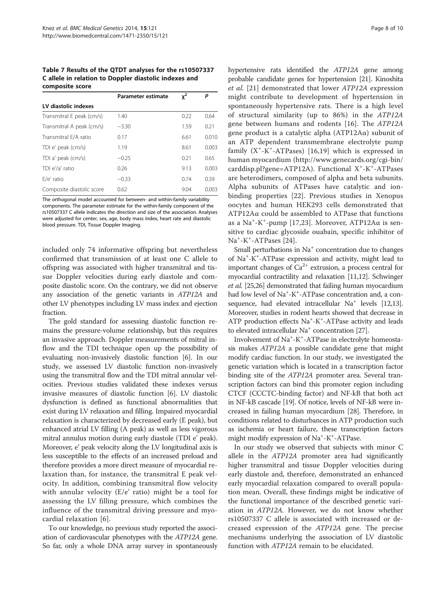<span id="page-7-0"></span>Table 7 Results of the QTDT analyses for the rs10507337 C allele in relation to Doppler diastolic indexes and composite score

|                           | Parameter estimate | $x^2$ | Ρ     |
|---------------------------|--------------------|-------|-------|
| LV diastolic indexes      |                    |       |       |
| Transmitral E peak (cm/s) | 1.40               | 0.22  | 0.64  |
| Transmitral A peak (cm/s) | $-3.30$            | 1.59  | 0.21  |
| Transmitral F/A ratio     | 0.17               | 6.61  | 0.010 |
| TDI e' peak (cm/s)        | 1.19               | 8.61  | 0.003 |
| TDI a' peak (cm/s)        | $-0.25$            | 0.21  | 0.65  |
| TDI e'/a' ratio           | 0.26               | 9.13  | 0.003 |
| $F/e'$ ratio              | $-0.33$            | 0.74  | 0.39  |
| Composite diastolic score | 0.62               | 9.04  | 0.003 |

The orthogonal model accounted for between- and within-family variability components. The parameter estimate for the within-family component of the rs10507337 C allele indicates the direction and size of the association. Analyses were adjusted for center, sex, age, body mass index, heart rate and diastolic blood pressure. TDI, Tissue Doppler Imaging.

included only 74 informative offspring but nevertheless confirmed that transmission of at least one C allele to offspring was associated with higher transmitral and tissue Doppler velocities during early diastole and composite diastolic score. On the contrary, we did not observe any association of the genetic variants in ATP12A and other LV phenotypes including LV mass index and ejection fraction.

The gold standard for assessing diastolic function remains the pressure-volume relationship, but this requires an invasive approach. Doppler measurements of mitral inflow and the TDI technique open up the possibility of evaluating non-invasively diastolic function [[6\]](#page-9-0). In our study, we assessed LV diastolic function non-invasively using the transmitral flow and the TDI mitral annular velocities. Previous studies validated these indexes versus invasive measures of diastolic function [[6](#page-9-0)]. LV diastolic dysfunction is defined as functional abnormalities that exist during LV relaxation and filling. Impaired myocardial relaxation is characterized by decreased early (E peak), but enhanced atrial LV filling (A peak) as well as less vigorous mitral annulus motion during early diastole (TDI e' peak). Moreover, e' peak velocity along the LV longitudinal axis is less susceptible to the effects of an increased preload and therefore provides a more direct measure of myocardial relaxation than, for instance, the transmitral E peak velocity. In addition, combining transmitral flow velocity with annular velocity (E/e' ratio) might be a tool for assessing the LV filling pressure, which combines the influence of the transmitral driving pressure and myocardial relaxation [\[6](#page-9-0)].

To our knowledge, no previous study reported the association of cardiovascular phenotypes with the ATP12A gene. So far, only a whole DNA array survey in spontaneously hypertensive rats identified the ATP12A gene among probable candidate genes for hypertension [\[21](#page-9-0)]. Kinoshita et al. [[21\]](#page-9-0) demonstrated that lower ATP12A expression might contribute to development of hypertension in spontaneously hypertensive rats. There is a high level of structural similarity (up to 86%) in the ATP12A gene between humans and rodents [[16\]](#page-9-0). The ATP12A gene product is a catalytic alpha  $(ATP12A\alpha)$  subunit of an ATP dependent transmembrane electrolyte pump family  $(X^*-K^*-ATPases)$  [\[16,19\]](#page-9-0) which is expressed in human myocardium ([http://www.genecards.org/cgi-bin/](http://www.genecards.org/cgi-bin/carddisp.pl?gene=ATP12A) [carddisp.pl?gene=ATP12A\)](http://www.genecards.org/cgi-bin/carddisp.pl?gene=ATP12A). Functional X<sup>+</sup>-K<sup>+</sup>-ATPases are heterodimers, composed of alpha and beta subunits. Alpha subunits of ATPases have catalytic and ionbinding properties [\[22](#page-9-0)]. Previous studies in Xenopus oocytes and human HEK293 cells demonstrated that ATP12Aα could be assembled to ATPase that functions as a  $\text{Na}^+$ -K<sup>+</sup>-pump [[17,23](#page-9-0)]. Moreover, ATP12A $\alpha$  is sensitive to cardiac glycoside ouabain, specific inhibitor of Na<sup>+</sup>-K<sup>+</sup>-ATPases [[24](#page-9-0)].

Small perturbations in  $Na<sup>+</sup>$  concentration due to changes of Na+ -K+ -ATPase expression and activity, might lead to important changes of  $Ca^{2+}$  extrusion, a process central for myocardial contractility and relaxation [\[11,12](#page-9-0)]. Schwinger et al. [[25,26\]](#page-9-0) demonstrated that failing human myocardium had low level of Na<sup>+</sup>-K<sup>+</sup>-ATPase concentration and, a consequence, had elevated intracellular  $Na<sup>+</sup>$  levels [\[12,13](#page-9-0)]. Moreover, studies in rodent hearts showed that decrease in ATP production effects Na<sup>+</sup>-K<sup>+</sup>-ATPase activity and leads to elevated intracellular Na<sup>+</sup> concentration [\[27\]](#page-9-0).

Involvement of Na<sup>+</sup>-K<sup>+</sup>-ATPase in electrolyte homeostasis makes ATP12A a possible candidate gene that might modify cardiac function. In our study, we investigated the genetic variation which is located in a transcription factor binding site of the ATP12A promoter area. Several transcription factors can bind this promoter region including CTCF (CCCTC-binding factor) and NF-kB that both act in NF-kB cascade [\[19\]](#page-9-0). Of notice, levels of NF-kB were increased in failing human myocardium [\[28\]](#page-9-0). Therefore, in conditions related to disturbances in ATP production such as ischemia or heart failure, these transcription factors might modify expression of Na<sup>+</sup>-K<sup>+</sup>-ATPase.

In our study we observed that subjects with minor C allele in the ATP12A promoter area had significantly higher transmitral and tissue Doppler velocities during early diastole and, therefore, demonstrated an enhanced early myocardial relaxation compared to overall population mean. Overall, these findings might be indicative of the functional importance of the described genetic variation in ATP12A. However, we do not know whether rs10507337 C allele is associated with increased or decreased expression of the ATP12A gene. The precise mechanisms underlying the association of LV diastolic function with ATP12A remain to be elucidated.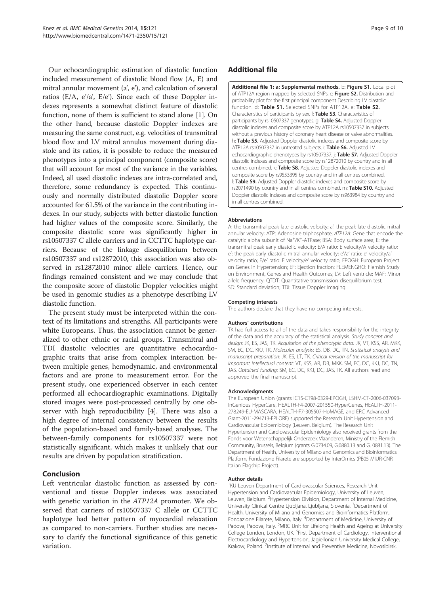<span id="page-8-0"></span>Our echocardiographic estimation of diastolic function included measurement of diastolic blood flow (A, E) and mitral annular movement (a', e'), and calculation of several ratios (E/A, e'/a', E/e'). Since each of these Doppler indexes represents a somewhat distinct feature of diastolic function, none of them is sufficient to stand alone [[1](#page-9-0)]. On the other hand, because diastolic Doppler indexes are measuring the same construct, e.g. velocities of transmitral blood flow and LV mitral annulus movement during diastole and its ratios, it is possible to reduce the measured phenotypes into a principal component (composite score) that will account for most of the variance in the variables. Indeed, all used diastolic indexes are intra-correlated and, therefore, some redundancy is expected. This continuously and normally distributed diastolic Doppler score accounted for 61.5% of the variance in the contributing indexes. In our study, subjects with better diastolic function had higher values of the composite score. Similarly, the composite diastolic score was significantly higher in rs10507337 C allele carriers and in CCTTC haplotype carriers. Because of the linkage disequilibrium between rs10507337 and rs12872010, this association was also observed in rs12872010 minor allele carriers. Hence, our findings remained consistent and we may conclude that the composite score of diastolic Doppler velocities might be used in genomic studies as a phenotype describing LV diastolic function.

The present study must be interpreted within the context of its limitations and strengths. All participants were white Europeans. Thus, the association cannot be generalized to other ethnic or racial groups. Transmitral and TDI diastolic velocities are quantitative echocardiographic traits that arise from complex interaction between multiple genes, hemodynamic, and environmental factors and are prone to measurement error. For the present study, one experienced observer in each center performed all echocardiographic examinations. Digitally stored images were post-processed centrally by one observer with high reproducibility [[4](#page-9-0)]. There was also a high degree of internal consistency between the results of the population-based and family-based analyses. The between-family components for rs10507337 were not statistically significant, which makes it unlikely that our results are driven by population stratification.

# Conclusion

Left ventricular diastolic function as assessed by conventional and tissue Doppler indexes was associated with genetic variation in the ATP12A promoter. We observed that carriers of rs10507337 C allele or CCTTC haplotype had better pattern of myocardial relaxation as compared to non-carriers. Further studies are necessary to clarify the functional significance of this genetic variation.

# Additional file

[Additional file 1:](http://www.biomedcentral.com/content/supplementary/s12881-014-0121-6-s1.docx) a: Supplemental methods. b: Figure S1. Local plot of ATP12A region mapped by selected SNPs. c: Figure S2. Distribution and probability plot for the first principal component Describing LV diastolic function. d: Table S1. Selected SNPs for ATP12A. e: Table S2. Characteristics of participants by sex. f: Table S3. Characteristics of participants by rs10507337 genotypes. g: Table S4. Adjusted Doppler diastolic indexes and composite score by ATP12A rs10507337 in subjects without a previous history of coronary heart disease or valve abnormalities. h: Table S5. Adjusted Doppler diastolic indexes and composite score by ATP12A rs10507337 in untreated subjects. i: Table S6. Adjusted LV echocardiographic phenotypes by rs10507337. j: Table S7. Adjusted Doppler diastolic indexes and composite score by rs12872010 by country and in all centres combined. k: Table S8. Adjusted Doppler diastolic indexes and composite score by rs9553395 by country and in all centres combined. l: Table S9. Adjusted Doppler diastolic indexes and composite score by rs2071490 by country and in all centres combined. m: Table S10. Adjusted Doppler diastolic indexes and composite score by rs963984 by country and in all centres combined.

#### Abbreviations

A: the transmitral peak late diastolic velocity; a': the peak late diastolic mitral annular velocity; ATP: Adenosine triphosphate; ATP12A: Gene that encode the catalytic alpha subunit of Na<sup>+</sup>/K<sup>+</sup>-ATPase; BSA: Body surface area; E: the transmitral peak early diastolic velocity; E/A ratio: E velocity/A velocity ratio; e': the peak early diastolic mitral annular velocity; e'/a' ratio: e' velocity/a' velocity ratio; E/e' ratio: E velocity/e' velocity ratio; EPOGH: European Project on Genes in Hypertension; EF: Ejection fraction; FLEMENGHO: Flemish Study on Environment, Genes and Health Outcomes; LV: Left ventricle; MAF: Minor allele frequency; QTDT: Quantitative transmission disequilibrium test; SD: Standard deviation; TDI: Tissue Doppler Imaging.

#### Competing interests

The authors declare that they have no competing interests.

#### Authors' contributions

TK had full access to all of the data and takes responsibility for the integrity of the data and the accuracy of the statistical analysis. Study concept and design: JK, ES, JAS, TK. Acquisition of the phenotypic data: JK, VT, KSS, AR, MKK, SM, EC, DC, KKJ, TK. Molecular analysis: ES, DB, DC, TN. Statistical analysis and manuscript preparation: JK, ES, LT, TK. Critical revision of the manuscript for important intellectual content: VT, KSS, AR, DB, MKK, SM, EC, DC, KKJ, DC, TN, JAS. Obtained funding: SM, EC, DC, KKJ, DC, JAS, TK. All authors read and approved the final manuscript.

#### Acknowledgments

The European Union (grants IC15-CT98-0329-EPOGH, LSHM-CT-2006-037093- InGenious HyperCare, HEALTH-F4-2007-201550-HyperGenes, HEALTH-2011- 278249-EU-MASCARA, HEALTH-F7-305507-HoMAGE, and ERC Advanced Grant-2011-294713-EPLORE) supported the Research Unit Hypertension and Cardiovascular Epidemiology (Leuven, Belgium). The Research Unit Hypertension and Cardiovascular Epidemiology also received grants from the Fonds voor Wetenschappelijk Onderzoek Vlaanderen, Ministry of the Flemish Community, Brussels, Belgium (grants G.0734.09, G.0880.13 and G. 0881.13). The Department of Health, University of Milano and Genomics and Bioinformatics Platform, Fondazione Filarete are supported by InterOmics (PB05 MIUR-CNR Italian Flagship Project).

#### Author details

<sup>1</sup>KU Leuven Department of Cardiovascular Sciences, Research Unit Hypertension and Cardiovascular Epidemiology, University of Leuven, Leuven, Belgium. <sup>2</sup> Hypertension Division, Department of Internal Medicine University Clinical Centre Ljubljana, Ljubljana, Slovenia. <sup>3</sup>Department of Health, University of Milano and Genomics and Bioinformatics Platform, Fondazione Filarete, Milano, Italy. <sup>4</sup>Department of Medicine, University of Padova, Padova, Italy. <sup>5</sup>MRC Unit for Lifelong Health and Ageing at University College London, London, UK. <sup>6</sup>First Department of Cardiology, Interventional Electrocardiology and Hypertension, Jagiellonian University Medical College, Krakow, Poland. <sup>7</sup>Institute of Internal and Preventive Medicine, Novosibirsk